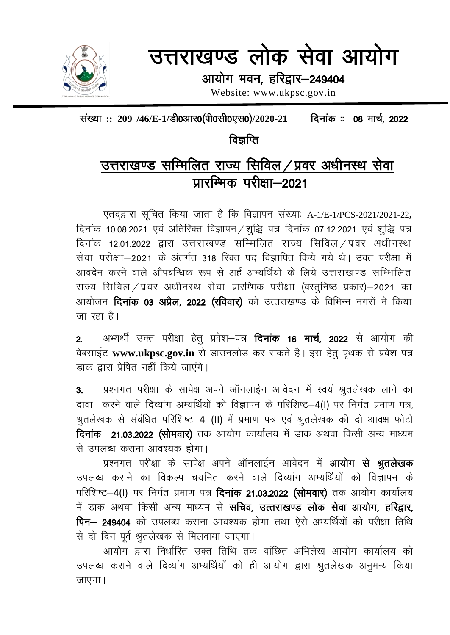

# उत्तराखण्ड लोक सेवा आयोग

आयोग भवन, हरिद्वार-249404

Website: www.ukpsc.gov.in

संख्या :: 209 /46/E-1/डी0आर0(पी0सी0एस0)/2020-21 दिनांक :: 08 मार्च, 2022

# विज्ञप्ति

# उत्तराखण्ड सम्मिलित राज्य सिविल/प्रवर अधीनस्थ सेवा प्रारम्भिक परीक्षा-2021

एतदद्वारा सुचित किया जाता है कि विज्ञापन संख्याः A-1/E-1/PCS-2021/2021-22, दिनांक 10.08.2021 एवं अतिरिक्त विज्ञापन / शुद्धि पत्र दिनांक 07.12.2021 एवं शुद्धि पत्र दिनांक 12.01.2022 द्वारा उत्तराखण्ड सम्मिलित राज्य सिविल ⁄ प्रवर अधीनस्थ सेवा परीक्षा-2021 के अंतर्गत 318 रिक्त पद विज्ञापित किये गये थे। उक्त परीक्षा में आवदेन करने वाले औपबन्धिक रूप से अर्ह अभ्यर्थियों के लिये उत्तराखण्ड सम्मिलित राज्य सिविल / प्रवर अधीनस्थ सेवा प्रारम्भिक परीक्षा (वस्तुनिष्ठ प्रकार)–2021 का आयोजन **दिनांक 03 अप्रैल, 2022 (रविवार)** को उत्तराखण्ड के विभिन्न नगरों में किया जा रहा है।

अभ्यर्थी उक्त परीक्षा हेत् प्रवेश–पत्र **दिनांक 16 मार्च, 2022** से आयोग की  $2<sub>1</sub>$ वेबसाईट www.ukpsc.gov.in से डाउनलोड कर सकते है। इस हेत् पृथक से प्रवेश पत्र डाक द्नारा प्रेषित नहीं किये जाएंगे।

प्रश्नगत परीक्षा के सापेक्ष अपने ऑनलाईन आवेदन में स्वयं श्रुतलेखक लाने का  $3.$ दावा करने वाले दिव्यांग अभ्यर्थियों को विज्ञापन के परिशिष्ट-4(I) पर निर्गत प्रमाण पत्र, श्रुतलेखक से संबंधित परिशिष्ट-4 (II) में प्रमाण पत्र एवं श्रुतलेखक की दो आवक्ष फोटो दिनांक 21.03.2022 (सोमवार) तक आयोग कार्यालय में डाक अथवा किसी अन्य माध्यम से उपलब्ध कराना आवश्यक होगा।

प्रश्नगत परीक्षा के सापेक्ष अपने ऑनलाईन आवेदन में आयोग से श्रुतलेखक उपलब्ध कराने का विकल्प चयनित करने वाले दिव्यांग अभ्यर्थियों को विज्ञापन के परिशिष्ट-4(I) पर निर्गत प्रमाण पत्र **दिनांक 21.03.2022 (सोमवार)** तक आयोग कार्यालय में डाक अथवा किसी अन्य माध्यम से **सचिव, उत्तराखण्ड लोक सेवा आयोग, हरिद्वार,** पिन- 249404 को उपलब्ध कराना आवश्यक होगा तथा ऐसे अभ्यर्थियों को परीक्षा तिथि से दो दिन पूर्व श्रुतलेखक से मिलवाया जाएगा।

आयोग द्वारा निर्धारित उक्त तिथि तक वांछित अभिलेख आयोग कार्यालय को उपलब्ध कराने वाले दिव्यांग अभ्यर्थियों को ही आयोग द्वारा श्रुतलेखक अनुमन्य किया जाएगा।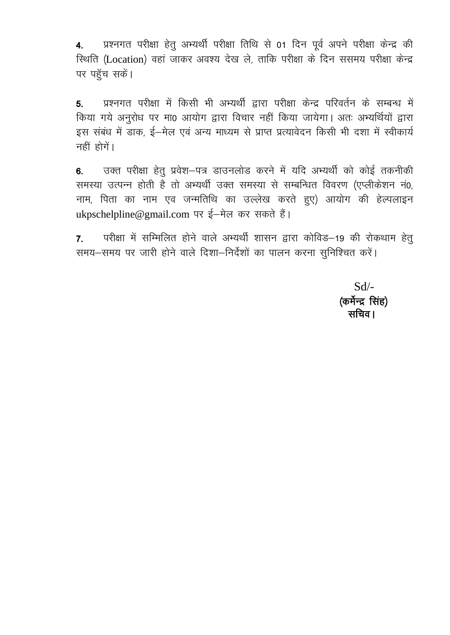प्रश्नगत परीक्षा हेतु अभ्यर्थी परीक्षा तिथि से 01 दिन पूर्व अपने परीक्षा केन्द्र की  $4.$ स्थिति (Location) वहां जाकर अवश्य देख ले, ताकि परीक्षा के दिन ससमय परीक्षा केन्द्र पर पहुँच सकें।

प्रश्नगत परीक्षा में किसी भी अभ्यर्थी द्वारा परीक्षा केन्द्र परिवर्तन के सम्बन्ध में 5. किया गये अनुरोध पर मा0 आयोग द्वारा विचार नहीं किया जायेगा। अतः अभ्यर्थियों द्वारा इस संबंध में डाक, ई-मेल एवं अन्य माध्यम से प्राप्त प्रत्यावेदन किसी भी दशा में स्वीकार्य नहीं होगें।

उक्त परीक्षा हेतू प्रवेश-पत्र डाउनलोड करने में यदि अभ्यर्थी को कोई तकनीकी  $6<sub>1</sub>$ समस्या उत्पन्न होती है तो अभ्यर्थी उक्त समस्या से सम्बन्धित विवरण (एप्लीकेशन नं0, नाम, पिता का नाम एव जन्मतिथि का उल्लेख करते हुए) आयोग की हेल्पलाइन ukpschelpline@gmail.com पर ई-मेल कर सकते हैं।

परीक्षा में सम्मिलित होने वाले अभ्यर्थी शासन द्वारा कोविड–19 की रोकथाम हेतु  $\overline{7}$ . समय-समय पर जारी होने वाले दिशा-निर्देशों का पालन करना सुनिश्चित करें।

> $Sd$ (कर्मेन्द्र सिंह) सचिव ।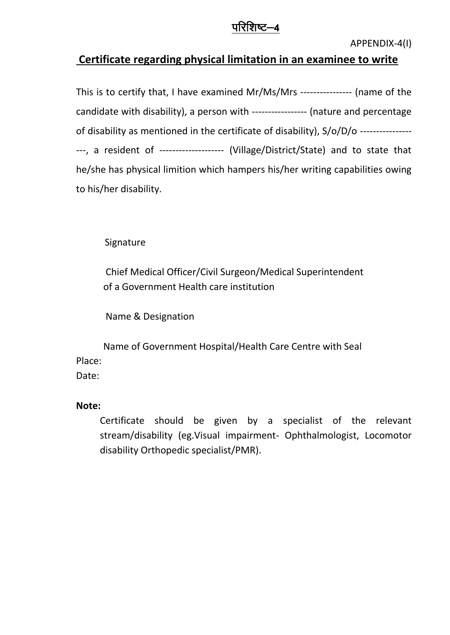## <u>परिशिष्ट—4</u>

#### **Certificate regarding physical limitation in an examinee to write**

This is to certify that, I have examined Mr/Ms/Mrs ---------------- (name of the candidate with disability), a person with ----------------- (nature and percentage of disability as mentioned in the certificate of disability), S/o/D/o ---------------- ---, a resident of -------------------- (Village/District/State) and to state that he/she has physical limition which hampers his/her writing capabilities owing to his/her disability.

Signature

Chief Medical Officer/Civil Surgeon/Medical Superintendent of a Government Health care institution

Name & Designation

Name of Government Hospital/Health Care Centre with Seal Place:

Date:

#### **Note:**

Certificate should be given by a specialist of the relevant stream/disability (eg.Visual impairment- Ophthalmologist, Locomotor disability Orthopedic specialist/PMR).